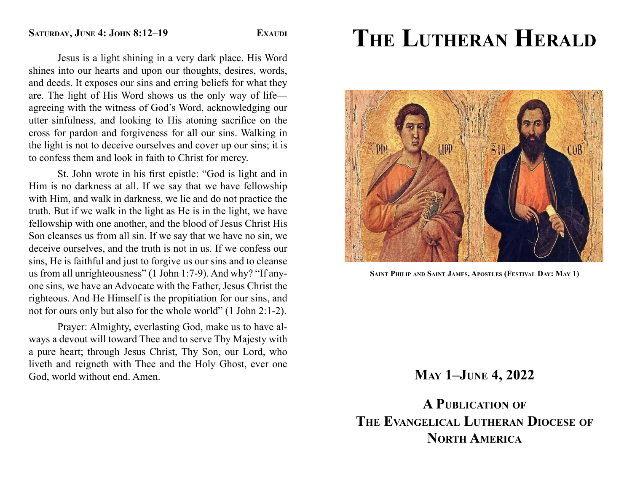Jesus is a light shining in a very dark place. His Word shines into our hearts and upon our thoughts, desires, words, and deeds. It exposes our sins and erring beliefs for what they are. The light of His Word shows us the only way of life agreeing with the witness of God's Word, acknowledging our utter sinfulness, and looking to His atoning sacrifice on the cross for pardon and forgiveness for all our sins. Walking in the light is not to deceive ourselves and cover up our sins; it is to confess them and look in faith to Christ for mercy.

St. John wrote in his first epistle: "God is light and in Him is no darkness at all. If we say that we have fellowship with Him, and walk in darkness, we lie and do not practice the truth. But if we walk in the light as He is in the light, we have fellowship with one another, and the blood of Jesus Christ His Son cleanses us from all sin. If we say that we have no sin, we deceive ourselves, and the truth is not in us. If we confess our sins, He is faithful and just to forgive us our sins and to cleanse us from all unrighteousness" (1 John 1:7-9). And why? "If anyone sins, we have an Advocate with the Father, Jesus Christ the righteous. And He Himself is the propitiation for our sins, and not for ours only but also for the whole world" (1 John 2:1-2).

 Prayer: Almighty, everlasting God, make us to have always a devout will toward Thee and to serve Thy Majesty with a pure heart; through Jesus Christ, Thy Son, our Lord, who liveth and reigneth with Thee and the Holy Ghost, ever one God, world without end. Amen.

# **THE LUTHERAN HERALD**



**SAINT PHILIP AND SAINT JAMES, APOSTLES (FESTIVAL DAY: MAY 1)**

## **MAY 1–JUNE 4, 2022**

**A PUBLICATION OF THE EVANGELICAL LUTHERAN DIOCESE OF NORTH AMERICA**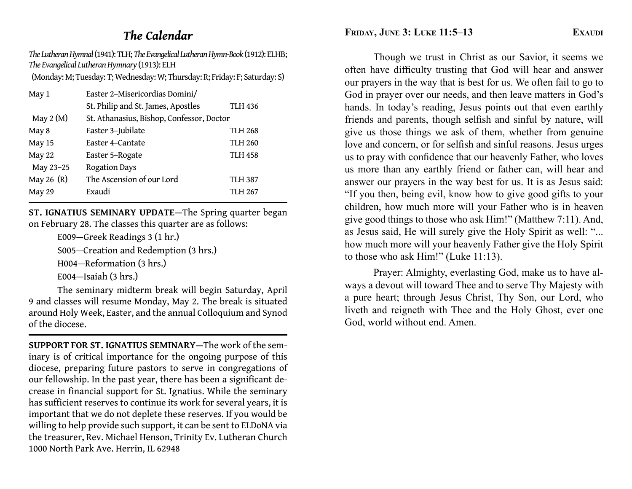## *The Calendar*

*The Lutheran Hymnal* (1941): TLH; *The Evangelical Lutheran Hymn-Book* (1912): ELHB; *The Evangelical Lutheran Hymnary* (1913): ELH

(Monday: M; Tuesday: T; Wednesday: W; Thursday: R; Friday: F; Saturday: S)

| May 1        | Easter 2-Misericordias Domini/            |                |
|--------------|-------------------------------------------|----------------|
|              | St. Philip and St. James, Apostles        | <b>TLH 436</b> |
| May $2(M)$   | St. Athanasius, Bishop, Confessor, Doctor |                |
| May 8        | Easter 3-Jubilate                         | <b>TLH 268</b> |
| May 15       | Easter 4-Cantate                          | <b>TLH 260</b> |
| May 22       | Easter 5-Rogate                           | <b>TLH 458</b> |
| May 23-25    | <b>Rogation Days</b>                      |                |
| May 26 $(R)$ | The Ascension of our Lord                 | <b>TLH 387</b> |
| May 29       | Exaudi                                    | TLH 267        |

**ST. IGNATIUS SEMINARY UPDATE—**The Spring quarter began on February 28. The classes this quarter are as follows:

E009—Greek Readings 3 (1 hr.)

S005—Creation and Redemption (3 hrs.)

H004—Reformation (3 hrs.)

E004—Isaiah (3 hrs.)

 The seminary midterm break will begin Saturday, April 9 and classes will resume Monday, May 2. The break is situated around Holy Week, Easter, and the annual Colloquium and Synod of the diocese.

**SUPPORT FOR ST. IGNATIUS SEMINARY—**The work of the seminary is of critical importance for the ongoing purpose of this diocese, preparing future pastors to serve in congregations of our fellowship. In the past year, there has been a signi fi cant decrease in financial support for St. Ignatius. While the seminary has sufficient reserves to continue its work for several years, it is important that we do not deplete these reserves. If you would be willing to help provide such support, it can be sent to ELDoNA via the treasurer, Rev. Michael Henson, Trinity Ev. Lutheran Church 1000 North Park Ave. Herrin, IL 62948

**FRIDAY, JUNE 3: LUKE 11:5-13** EXAUDI

 Though we trust in Christ as our Savior, it seems we often have difficulty trusting that God will hear and answer our prayers in the way that is best for us. We often fail to go to God in prayer over our needs, and then leave matters in God's hands. In today's reading, Jesus points out that even earthly friends and parents, though selfish and sinful by nature, will give us those things we ask of them, whether from genuine love and concern, or for selfish and sinful reasons. Jesus urges us to pray with confidence that our heavenly Father, who loves us more than any earthly friend or father can, will hear and answer our prayers in the way best for us. It is as Jesus said: "If you then, being evil, know how to give good gifts to your children, how much more will your Father who is in heaven give good things to those who ask Him!" (Matthew 7:11). And, as Jesus said, He will surely give the Holy Spirit as well: "... how much more will your heavenly Father give the Holy Spirit to those who ask Him!" (Luke 11:13).

 Prayer: Almighty, everlasting God, make us to have always a devout will toward Thee and to serve Thy Majesty with a pure heart; through Jesus Christ, Thy Son, our Lord, who liveth and reigneth with Thee and the Holy Ghost, ever one God, world without end. Amen.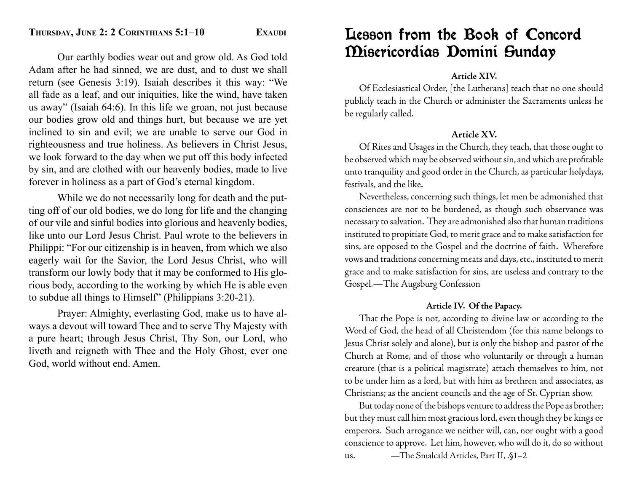Our earthly bodies wear out and grow old. As God told Adam after he had sinned, we are dust, and to dust we shall return (see Genesis 3:19). Isaiah describes it this way: "We all fade as a leaf, and our iniquities, like the wind, have taken us away" (Isaiah 64:6). In this life we groan, not just because our bodies grow old and things hurt, but because we are yet inclined to sin and evil; we are unable to serve our God in righteousness and true holiness. As believers in Christ Jesus, we look forward to the day when we put off this body infected by sin, and are clothed with our heavenly bodies, made to live forever in holiness as a part of God's eternal kingdom.

 While we do not necessarily long for death and the putting off of our old bodies, we do long for life and the changing of our vile and sinful bodies into glorious and heavenly bodies, like unto our Lord Jesus Christ. Paul wrote to the believers in Philippi: "For our citizenship is in heaven, from which we also eagerly wait for the Savior, the Lord Jesus Christ, who will transform our lowly body that it may be conformed to His glorious body, according to the working by which He is able even to subdue all things to Himself" (Philippians 3:20-21).

 Prayer: Almighty, everlasting God, make us to have always a devout will toward Thee and to serve Thy Majesty with a pure heart; through Jesus Christ, Thy Son, our Lord, who liveth and reigneth with Thee and the Holy Ghost, ever one God, world without end. Amen.

## Lesson from the Book of Concord Misericordias Domini Sunday

#### **Article XIV.**

 Of Ecclesiastical Order, [the Lutherans] teach that no one should publicly teach in the Church or administer the Sacraments unless he be regularly called.

## **Article XV.**

 Of Rites and Usages in the Church, they teach, that those ought to be observed which may be observed without sin, and which are profitable unto tranquility and good order in the Church, as particular holydays, festivals, and the like.

 Nevertheless, concerning such things, let men be admonished that consciences are not to be burdened, as though such observance was necessary to salvation. They are admonished also that human traditions instituted to propitiate God, to merit grace and to make satisfaction for sins, are opposed to the Gospel and the doctrine of faith. Wherefore vows and traditions concerning meats and days, etc., instituted to merit grace and to make satisfaction for sins, are useless and contrary to the Gospel.—The Augsburg Confession

#### **Article IV. Of the Papacy.**

 That the Pope is not, according to divine law or according to the Word of God, the head of all Christendom (for this name belongs to Jesus Christ solely and alone), but is only the bishop and pastor of the Church at Rome, and of those who voluntarily or through a human creature (that is a political magistrate) attach themselves to him, not to be under him as a lord, but with him as brethren and associates, as Christians; as the ancient councils and the age of St. Cyprian show.

 But today none of the bishops venture to address the Pope as brother; but they must call him most gracious lord, even though they be kings or emperors. Such arrogance we neither will, can, nor ought with a good conscience to approve. Let him, however, who will do it, do so without us. —The Smalcald Articles, Part II, .§1–2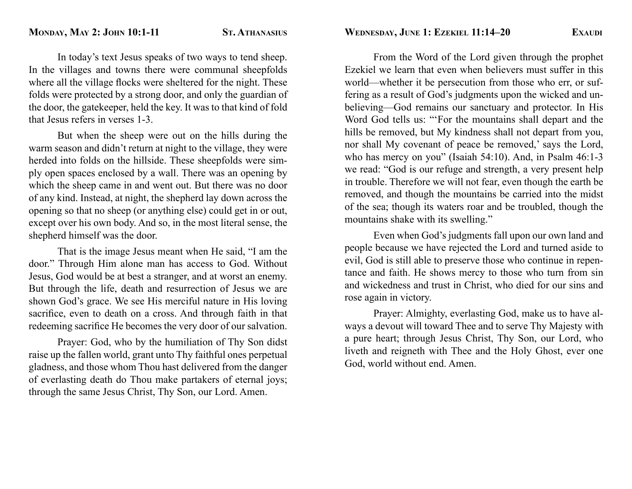In today's text Jesus speaks of two ways to tend sheep. In the villages and towns there were communal sheepfolds where all the village flocks were sheltered for the night. These folds were protected by a strong door, and only the guardian of the door, the gatekeeper, held the key. It was to that kind of fold that Jesus refers in verses 1-3.

 But when the sheep were out on the hills during the warm season and didn't return at night to the village, they were herded into folds on the hillside. These sheepfolds were simply open spaces enclosed by a wall. There was an opening by which the sheep came in and went out. But there was no door of any kind. Instead, at night, the shepherd lay down across the opening so that no sheep (or anything else) could get in or out, except over his own body. And so, in the most literal sense, the shepherd himself was the door.

 That is the image Jesus meant when He said, "I am the door." Through Him alone man has access to God. Without Jesus, God would be at best a stranger, and at worst an enemy. But through the life, death and resurrection of Jesus we are shown God's grace. We see His merciful nature in His loving sacrifice, even to death on a cross. And through faith in that redeeming sacrifice He becomes the very door of our salvation.

 Prayer: God, who by the humiliation of Thy Son didst raise up the fallen world, grant unto Thy faithful ones perpetual gladness, and those whom Thou hast delivered from the danger of everlasting death do Thou make partakers of eternal joys; through the same Jesus Christ, Thy Son, our Lord. Amen.

 From the Word of the Lord given through the prophet Ezekiel we learn that even when believers must suffer in this world—whether it be persecution from those who err, or suffering as a result of God's judgments upon the wicked and unbelieving—God remains our sanctuary and protector. In His Word God tells us: "'For the mountains shall depart and the hills be removed, but My kindness shall not depart from you, nor shall My covenant of peace be removed,' says the Lord, who has mercy on you" (Isaiah 54:10). And, in Psalm 46:1-3 we read: "God is our refuge and strength, a very present help in trouble. Therefore we will not fear, even though the earth be removed, and though the mountains be carried into the midst of the sea; though its waters roar and be troubled, though the mountains shake with its swelling."

 Even when God's judgments fall upon our own land and people because we have rejected the Lord and turned aside to evil, God is still able to preserve those who continue in repentance and faith. He shows mercy to those who turn from sin and wickedness and trust in Christ, who died for our sins and rose again in victory.

 Prayer: Almighty, everlasting God, make us to have always a devout will toward Thee and to serve Thy Majesty with a pure heart; through Jesus Christ, Thy Son, our Lord, who liveth and reigneth with Thee and the Holy Ghost, ever one God, world without end. Amen.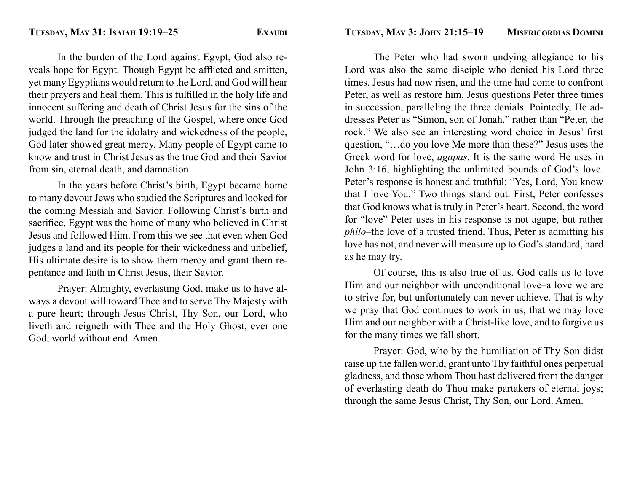In the burden of the Lord against Egypt, God also reveals hope for Egypt. Though Egypt be afflicted and smitten, yet many Egyptians would return to the Lord, and God will hear their prayers and heal them. This is fulfilled in the holy life and innocent suffering and death of Christ Jesus for the sins of the world. Through the preaching of the Gospel, where once God judged the land for the idolatry and wickedness of the people, God later showed great mercy. Many people of Egypt came to know and trust in Christ Jesus as the true God and their Savior from sin, eternal death, and damnation.

 In the years before Christ's birth, Egypt became home to many devout Jews who studied the Scriptures and looked for the coming Messiah and Savior. Following Christ's birth and sacrifice, Egypt was the home of many who believed in Christ Jesus and followed Him. From this we see that even when God judges a land and its people for their wickedness and unbelief, His ultimate desire is to show them mercy and grant them repentance and faith in Christ Jesus, their Savior.

 Prayer: Almighty, everlasting God, make us to have always a devout will toward Thee and to serve Thy Majesty with a pure heart; through Jesus Christ, Thy Son, our Lord, who liveth and reigneth with Thee and the Holy Ghost, ever one God, world without end. Amen.

 The Peter who had sworn undying allegiance to his Lord was also the same disciple who denied his Lord three times. Jesus had now risen, and the time had come to confront Peter, as well as restore him. Jesus questions Peter three times in succession, paralleling the three denials. Pointedly, He addresses Peter as "Simon, son of Jonah," rather than "Peter, the rock." We also see an interesting word choice in Jesus' first question, "…do you love Me more than these?" Jesus uses the Greek word for love, *agapas*. It is the same word He uses in John 3:16, highlighting the unlimited bounds of God's love. Peter's response is honest and truthful: "Yes, Lord, You know that I love You." Two things stand out. First, Peter confesses that God knows what is truly in Peter's heart. Second, the word for "love" Peter uses in his response is not agape, but rather *philo*–the love of a trusted friend. Thus, Peter is admitting his love has not, and never will measure up to God's standard, hard as he may try.

 Of course, this is also true of us. God calls us to love Him and our neighbor with unconditional love–a love we are to strive for, but unfortunately can never achieve. That is why we pray that God continues to work in us, that we may love Him and our neighbor with a Christ-like love, and to forgive us for the many times we fall short.

 Prayer: God, who by the humiliation of Thy Son didst raise up the fallen world, grant unto Thy faithful ones perpetual gladness, and those whom Thou hast delivered from the danger of everlasting death do Thou make partakers of eternal joys; through the same Jesus Christ, Thy Son, our Lord. Amen.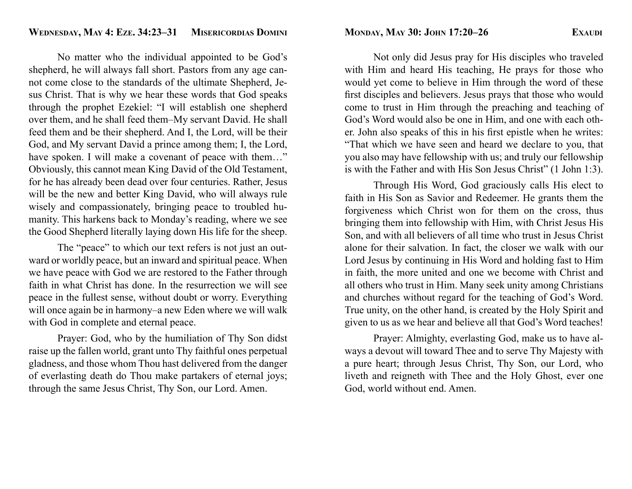No matter who the individual appointed to be God's shepherd, he will always fall short. Pastors from any age cannot come close to the standards of the ultimate Shepherd, Jesus Christ. That is why we hear these words that God speaks through the prophet Ezekiel: "I will establish one shepherd over them, and he shall feed them–My servant David. He shall feed them and be their shepherd. And I, the Lord, will be their God, and My servant David a prince among them; I, the Lord, have spoken. I will make a covenant of peace with them..." Obviously, this cannot mean King David of the Old Testament, for he has already been dead over four centuries. Rather, Jesus will be the new and better King David, who will always rule wisely and compassionately, bringing peace to troubled humanity. This harkens back to Monday's reading, where we see the Good Shepherd literally laying down His life for the sheep.

The "peace" to which our text refers is not just an outward or worldly peace, but an inward and spiritual peace. When we have peace with God we are restored to the Father through faith in what Christ has done. In the resurrection we will see peace in the fullest sense, without doubt or worry. Everything will once again be in harmony–a new Eden where we will walk with God in complete and eternal peace.

 Prayer: God, who by the humiliation of Thy Son didst raise up the fallen world, grant unto Thy faithful ones perpetual gladness, and those whom Thou hast delivered from the danger of everlasting death do Thou make partakers of eternal joys; through the same Jesus Christ, Thy Son, our Lord. Amen.

 Not only did Jesus pray for His disciples who traveled with Him and heard His teaching, He prays for those who would yet come to believe in Him through the word of these first disciples and believers. Jesus prays that those who would come to trust in Him through the preaching and teaching of God's Word would also be one in Him, and one with each other. John also speaks of this in his first epistle when he writes: "That which we have seen and heard we declare to you, that you also may have fellowship with us; and truly our fellowship is with the Father and with His Son Jesus Christ" (1 John 1:3).

 Through His Word, God graciously calls His elect to faith in His Son as Savior and Redeemer. He grants them the forgiveness which Christ won for them on the cross, thus bringing them into fellowship with Him, with Christ Jesus His Son, and with all believers of all time who trust in Jesus Christ alone for their salvation. In fact, the closer we walk with our Lord Jesus by continuing in His Word and holding fast to Him in faith, the more united and one we become with Christ and all others who trust in Him. Many seek unity among Christians and churches without regard for the teaching of God's Word. True unity, on the other hand, is created by the Holy Spirit and given to us as we hear and believe all that God's Word teaches!

 Prayer: Almighty, everlasting God, make us to have always a devout will toward Thee and to serve Thy Majesty with a pure heart; through Jesus Christ, Thy Son, our Lord, who liveth and reigneth with Thee and the Holy Ghost, ever one God, world without end. Amen.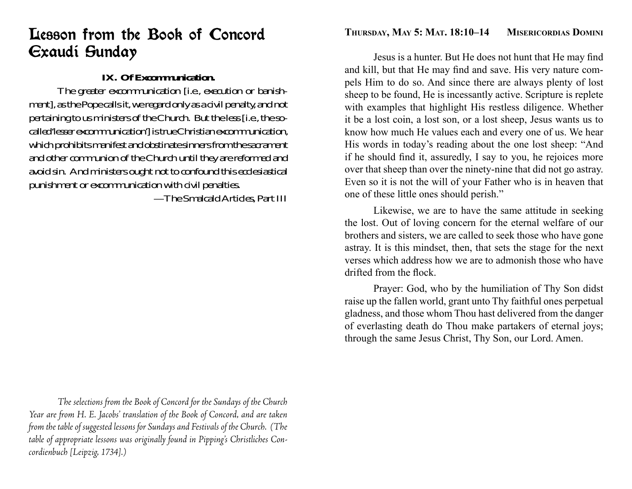## Lesson from the Book of Concord Exaudi Sunday

## **IX. Of Excommunication.**

 The greater excommunication [i.e., execution or banishment], as the Pope calls it, we regard only as a civil penalty, and not pertaining to us ministers of the Church. But the less [i.e., the socalled 'lesser excommunication'] is true Christian excommunication, which prohibits manifest and obstinate sinners from the sacrament and other communion of the Church until they are reformed and avoid sin. And ministers ought not to confound this ecclesiastical punishment or excommunication with civil penalties.

—The Smalcald Articles, Part III

 *The selections from the Book of Concord for the Sundays of the Church Year are from H. E. Jacobs' translation of the Book of Concord, and are taken from the table of suggested lessons for Sundays and Festivals of the Church. (The table of appropriate lessons was originally found in Pipping's Christliches Concordienbuch [Leipzig, 1734].)*

## **THURSDAY, MAY 5: MAT. 18:10–14 MISERICORDIAS DOMINI**

Jesus is a hunter. But He does not hunt that He may find and kill, but that He may find and save. His very nature compels Him to do so. And since there are always plenty of lost sheep to be found, He is incessantly active. Scripture is replete with examples that highlight His restless diligence. Whether it be a lost coin, a lost son, or a lost sheep, Jesus wants us to know how much He values each and every one of us. We hear His words in today's reading about the one lost sheep: "And if he should find it, assuredly, I say to you, he rejoices more over that sheep than over the ninety-nine that did not go astray. Even so it is not the will of your Father who is in heaven that one of these little ones should perish."

 Likewise, we are to have the same attitude in seeking the lost. Out of loving concern for the eternal welfare of our brothers and sisters, we are called to seek those who have gone astray. It is this mindset, then, that sets the stage for the next verses which address how we are to admonish those who have drifted from the flock.

 Prayer: God, who by the humiliation of Thy Son didst raise up the fallen world, grant unto Thy faithful ones perpetual gladness, and those whom Thou hast delivered from the danger of everlasting death do Thou make partakers of eternal joys; through the same Jesus Christ, Thy Son, our Lord. Amen.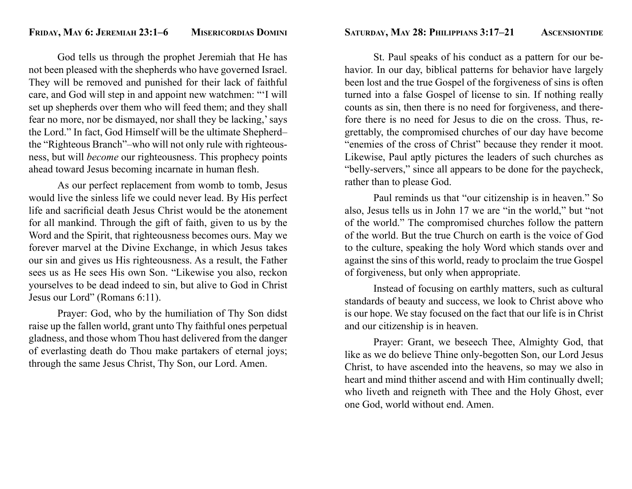God tells us through the prophet Jeremiah that He has not been pleased with the shepherds who have governed Israel. They will be removed and punished for their lack of faithful care, and God will step in and appoint new watchmen: "'I will set up shepherds over them who will feed them; and they shall fear no more, nor be dismayed, nor shall they be lacking,' says the Lord." In fact, God Himself will be the ultimate Shepherd– the "Righteous Branch"–who will not only rule with righteousness, but will *become* our righteousness. This prophecy points ahead toward Jesus becoming incarnate in human flesh.

 As our perfect replacement from womb to tomb, Jesus would live the sinless life we could never lead. By His perfect life and sacrificial death Jesus Christ would be the atonement for all mankind. Through the gift of faith, given to us by the Word and the Spirit, that righteousness becomes ours. May we forever marvel at the Divine Exchange, in which Jesus takes our sin and gives us His righteousness. As a result, the Father sees us as He sees His own Son. "Likewise you also, reckon yourselves to be dead indeed to sin, but alive to God in Christ Jesus our Lord" (Romans 6:11).

 Prayer: God, who by the humiliation of Thy Son didst raise up the fallen world, grant unto Thy faithful ones perpetual gladness, and those whom Thou hast delivered from the danger of everlasting death do Thou make partakers of eternal joys; through the same Jesus Christ, Thy Son, our Lord. Amen.

 St. Paul speaks of his conduct as a pattern for our behavior. In our day, biblical patterns for behavior have largely been lost and the true Gospel of the forgiveness of sins is often turned into a false Gospel of license to sin. If nothing really counts as sin, then there is no need for forgiveness, and therefore there is no need for Jesus to die on the cross. Thus, regrettably, the compromised churches of our day have become "enemies of the cross of Christ" because they render it moot. Likewise, Paul aptly pictures the leaders of such churches as "belly-servers," since all appears to be done for the paycheck, rather than to please God.

 Paul reminds us that "our citizenship is in heaven." So also, Jesus tells us in John 17 we are "in the world," but "not of the world." The compromised churches follow the pattern of the world. But the true Church on earth is the voice of God to the culture, speaking the holy Word which stands over and against the sins of this world, ready to proclaim the true Gospel of forgiveness, but only when appropriate.

 Instead of focusing on earthly matters, such as cultural standards of beauty and success, we look to Christ above who is our hope. We stay focused on the fact that our life is in Christ and our citizenship is in heaven.

 Prayer: Grant, we beseech Thee, Almighty God, that like as we do believe Thine only-begotten Son, our Lord Jesus Christ, to have ascended into the heavens, so may we also in heart and mind thither ascend and with Him continually dwell; who liveth and reigneth with Thee and the Holy Ghost, ever one God, world without end. Amen.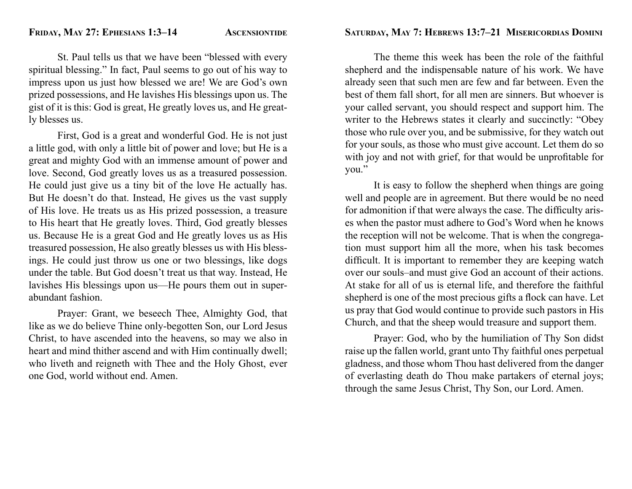St. Paul tells us that we have been "blessed with every spiritual blessing." In fact, Paul seems to go out of his way to impress upon us just how blessed we are! We are God's own prized possessions, and He lavishes His blessings upon us. The gist of it is this: God is great, He greatly loves us, and He greatly blesses us.

 First, God is a great and wonderful God. He is not just a little god, with only a little bit of power and love; but He is a great and mighty God with an immense amount of power and love. Second, God greatly loves us as a treasured possession. He could just give us a tiny bit of the love He actually has. But He doesn't do that. Instead, He gives us the vast supply of His love. He treats us as His prized possession, a treasure to His heart that He greatly loves. Third, God greatly blesses us. Because He is a great God and He greatly loves us as His treasured possession, He also greatly blesses us with His blessings. He could just throw us one or two blessings, like dogs under the table. But God doesn't treat us that way. Instead, He lavishes His blessings upon us—He pours them out in superabundant fashion.

 Prayer: Grant, we beseech Thee, Almighty God, that like as we do believe Thine only-begotten Son, our Lord Jesus Christ, to have ascended into the heavens, so may we also in heart and mind thither ascend and with Him continually dwell; who liveth and reigneth with Thee and the Holy Ghost, ever one God, world without end. Amen.

 The theme this week has been the role of the faithful shepherd and the indispensable nature of his work. We have already seen that such men are few and far between. Even the best of them fall short, for all men are sinners. But whoever is your called servant, you should respect and support him. The writer to the Hebrews states it clearly and succinctly: "Obey those who rule over you, and be submissive, for they watch out for your souls, as those who must give account. Let them do so with joy and not with grief, for that would be unprofitable for you."

 It is easy to follow the shepherd when things are going well and people are in agreement. But there would be no need for admonition if that were always the case. The difficulty arises when the pastor must adhere to God's Word when he knows the reception will not be welcome. That is when the congregation must support him all the more, when his task becomes difficult. It is important to remember they are keeping watch over our souls–and must give God an account of their actions. At stake for all of us is eternal life, and therefore the faithful shepherd is one of the most precious gifts a flock can have. Let us pray that God would continue to provide such pastors in His Church, and that the sheep would treasure and support them.

 Prayer: God, who by the humiliation of Thy Son didst raise up the fallen world, grant unto Thy faithful ones perpetual gladness, and those whom Thou hast delivered from the danger of everlasting death do Thou make partakers of eternal joys; through the same Jesus Christ, Thy Son, our Lord. Amen.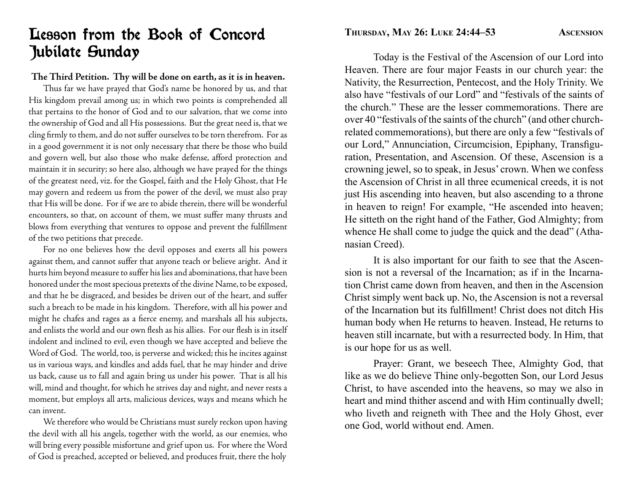## Lesson from the Book of Concord Jubilate Sunday

#### **The Third Petition. Thy will be done on earth, as it is in heaven.**

 Thus far we have prayed that God's name be honored by us, and that His kingdom prevail among us; in which two points is comprehended all that pertains to the honor of God and to our salvation, that we come into the ownership of God and all His possessions. But the great need is, that we cling firmly to them, and do not suffer ourselves to be torn therefrom. For as in a good government it is not only necessary that there be those who build and govern well, but also those who make defense, afford protection and maintain it in security; so here also, although we have prayed for the things of the greatest need, viz. for the Gospel, faith and the Holy Ghost, that He may govern and redeem us from the power of the devil, we must also pray that His will be done. For if we are to abide therein, there will be wonderful encounters, so that, on account of them, we must suffer many thrusts and blows from everything that ventures to oppose and prevent the fulfillment of the two petitions that precede.

 For no one believes how the devil opposes and exerts all his powers against them, and cannot suffer that anyone teach or believe aright. And it hurts him beyond measure to suffer his lies and abominations, that have been honored under the most specious pretexts of the divine Name, to be exposed, and that he be disgraced, and besides be driven out of the heart, and suffer such a breach to be made in his kingdom. Therefore, with all his power and might he chafes and rages as a fierce enemy, and marshals all his subjects, and enlists the world and our own flesh as his allies. For our flesh is in itself indolent and inclined to evil, even though we have accepted and believe the Word of God. The world, too, is perverse and wicked; this he incites against us in various ways, and kindles and adds fuel, that he may hinder and drive us back, cause us to fall and again bring us under his power. That is all his will, mind and thought, for which he strives day and night, and never rests a moment, but employs all arts, malicious devices, ways and means which he can invent.

 We therefore who would be Christians must surely reckon upon having the devil with all his angels, together with the world, as our enemies, who will bring every possible misfortune and grief upon us. For where the Word of God is preached, accepted or believed, and produces fruit, there the holy

**THURSDAY, MAY 26: LUKE 24:44-53 ASCENSION** 

 Today is the Festival of the Ascension of our Lord into Heaven. There are four major Feasts in our church year: the Nativity, the Resurrection, Pentecost, and the Holy Trinity. We also have "festivals of our Lord" and "festivals of the saints of the church." These are the lesser commemorations. There are over 40 "festivals of the saints of the church" (and other churchrelated commemorations), but there are only a few "festivals of our Lord," Annunciation, Circumcision, Epiphany, Transfiguration, Presentation, and Ascension. Of these, Ascension is a crowning jewel, so to speak, in Jesus' crown. When we confess the Ascension of Christ in all three ecumenical creeds, it is not just His ascending into heaven, but also ascending to a throne in heaven to reign! For example, "He ascended into heaven; He sitteth on the right hand of the Father, God Almighty; from whence He shall come to judge the quick and the dead" (Athanasian Creed).

 It is also important for our faith to see that the Ascension is not a reversal of the Incarnation; as if in the Incarnation Christ came down from heaven, and then in the Ascension Christ simply went back up. No, the Ascension is not a reversal of the Incarnation but its fulfillment! Christ does not ditch His human body when He returns to heaven. Instead, He returns to heaven still incarnate, but with a resurrected body. In Him, that is our hope for us as well.

 Prayer: Grant, we beseech Thee, Almighty God, that like as we do believe Thine only-begotten Son, our Lord Jesus Christ, to have ascended into the heavens, so may we also in heart and mind thither ascend and with Him continually dwell; who liveth and reigneth with Thee and the Holy Ghost, ever one God, world without end. Amen.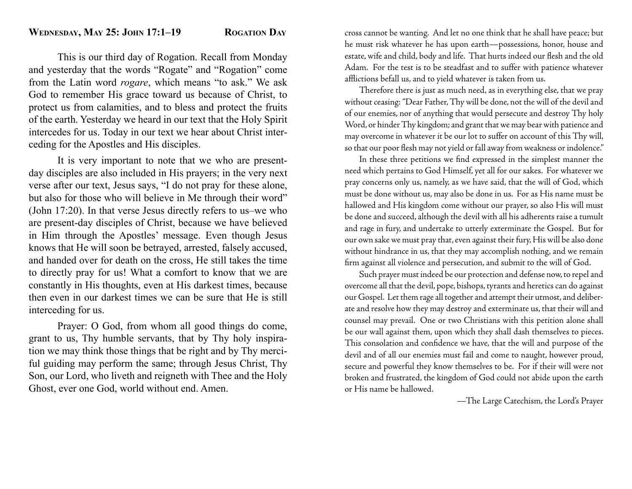This is our third day of Rogation. Recall from Monday and yesterday that the words "Rogate" and "Rogation" come from the Latin word *rogare*, which means "to ask." We ask God to remember His grace toward us because of Christ, to protect us from calamities, and to bless and protect the fruits of the earth. Yesterday we heard in our text that the Holy Spirit intercedes for us. Today in our text we hear about Christ interceding for the Apostles and His disciples.

 It is very important to note that we who are presentday disciples are also included in His prayers; in the very next verse after our text, Jesus says, "I do not pray for these alone, but also for those who will believe in Me through their word" (John 17:20). In that verse Jesus directly refers to us–we who are present-day disciples of Christ, because we have believed in Him through the Apostles' message. Even though Jesus knows that He will soon be betrayed, arrested, falsely accused, and handed over for death on the cross, He still takes the time to directly pray for us! What a comfort to know that we are constantly in His thoughts, even at His darkest times, because then even in our darkest times we can be sure that He is still interceding for us.

 Prayer: O God, from whom all good things do come, grant to us, Thy humble servants, that by Thy holy inspiration we may think those things that be right and by Thy merciful guiding may perform the same; through Jesus Christ, Thy Son, our Lord, who liveth and reigneth with Thee and the Holy Ghost, ever one God, world without end. Amen.

cross cannot be wanting. And let no one think that he shall have peace; but he must risk whatever he has upon earth—possessions, honor, house and estate, wife and child, body and life. That hurts indeed our flesh and the old Adam. For the test is to be steadfast and to suffer with patience whatever afflictions befall us, and to yield whatever is taken from us.

 Therefore there is just as much need, as in everything else, that we pray without ceasing: "Dear Father, Thy will be done, not the will of the devil and of our enemies, nor of anything that would persecute and destroy Thy holy Word, or hinder Thy kingdom; and grant that we may bear with patience and may overcome in whatever it be our lot to suffer on account of this Thy will, so that our poor flesh may not yield or fall away from weakness or indolence."

In these three petitions we find expressed in the simplest manner the need which pertains to God Himself, yet all for our sakes. For whatever we pray concerns only us, namely, as we have said, that the will of God, which must be done without us, may also be done in us. For as His name must be hallowed and His kingdom come without our prayer, so also His will must be done and succeed, although the devil with all his adherents raise a tumult and rage in fury, and undertake to utterly exterminate the Gospel. But for our own sake we must pray that, even against their fury, His will be also done without hindrance in us, that they may accomplish nothing, and we remain firm against all violence and persecution, and submit to the will of God.

 Such prayer must indeed be our protection and defense now, to repel and overcome all that the devil, pope, bishops, tyrants and heretics can do against our Gospel. Let them rage all together and attempt their utmost, and deliberate and resolve how they may destroy and exterminate us, that their will and counsel may prevail. One or two Christians with this petition alone shall be our wall against them, upon which they shall dash themselves to pieces. This consolation and confidence we have, that the will and purpose of the devil and of all our enemies must fail and come to naught, however proud, secure and powerful they know themselves to be. For if their will were not broken and frustrated, the kingdom of God could not abide upon the earth or His name be hallowed.

—The Large Catechism, the Lord's Prayer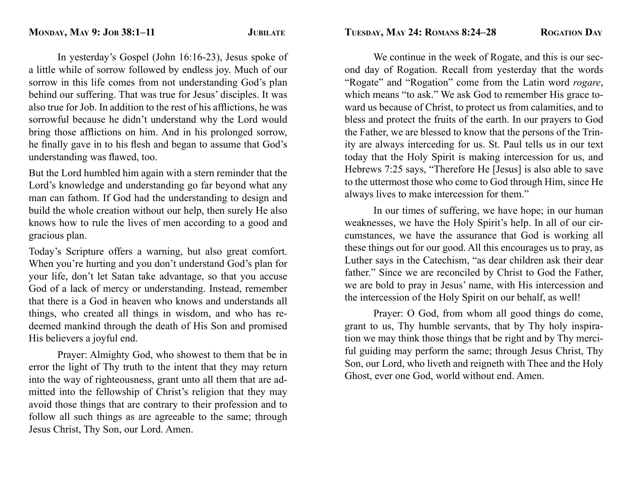In yesterday's Gospel (John 16:16-23), Jesus spoke of a little while of sorrow followed by endless joy. Much of our sorrow in this life comes from not understanding God's plan behind our suffering. That was true for Jesus' disciples. It was also true for Job. In addition to the rest of his afflictions, he was sorrowful because he didn't understand why the Lord would bring those afflictions on him. And in his prolonged sorrow, he finally gave in to his flesh and began to assume that God's understanding was flawed, too.

But the Lord humbled him again with a stern reminder that the Lord's knowledge and understanding go far beyond what any man can fathom. If God had the understanding to design and build the whole creation without our help, then surely He also knows how to rule the lives of men according to a good and gracious plan.

Today's Scripture offers a warning, but also great comfort. When you're hurting and you don't understand God's plan for your life, don't let Satan take advantage, so that you accuse God of a lack of mercy or understanding. Instead, remember that there is a God in heaven who knows and understands all things, who created all things in wisdom, and who has redeemed mankind through the death of His Son and promised His believers a joyful end.

 Prayer: Almighty God, who showest to them that be in error the light of Thy truth to the intent that they may return into the way of righteousness, grant unto all them that are admitted into the fellowship of Christ's religion that they may avoid those things that are contrary to their profession and to follow all such things as are agreeable to the same; through Jesus Christ, Thy Son, our Lord. Amen.

 We continue in the week of Rogate, and this is our second day of Rogation. Recall from yesterday that the words "Rogate" and "Rogation" come from the Latin word *rogare*, which means "to ask." We ask God to remember His grace toward us because of Christ, to protect us from calamities, and to bless and protect the fruits of the earth. In our prayers to God the Father, we are blessed to know that the persons of the Trinity are always interceding for us. St. Paul tells us in our text today that the Holy Spirit is making intercession for us, and Hebrews 7:25 says, "Therefore He [Jesus] is also able to save to the uttermost those who come to God through Him, since He always lives to make intercession for them."

 In our times of suffering, we have hope; in our human weaknesses, we have the Holy Spirit's help. In all of our circumstances, we have the assurance that God is working all these things out for our good. All this encourages us to pray, as Luther says in the Catechism, "as dear children ask their dear father." Since we are reconciled by Christ to God the Father, we are bold to pray in Jesus' name, with His intercession and the intercession of the Holy Spirit on our behalf, as well!

 Prayer: O God, from whom all good things do come, grant to us, Thy humble servants, that by Thy holy inspiration we may think those things that be right and by Thy merciful guiding may perform the same; through Jesus Christ, Thy Son, our Lord, who liveth and reigneth with Thee and the Holy Ghost, ever one God, world without end. Amen.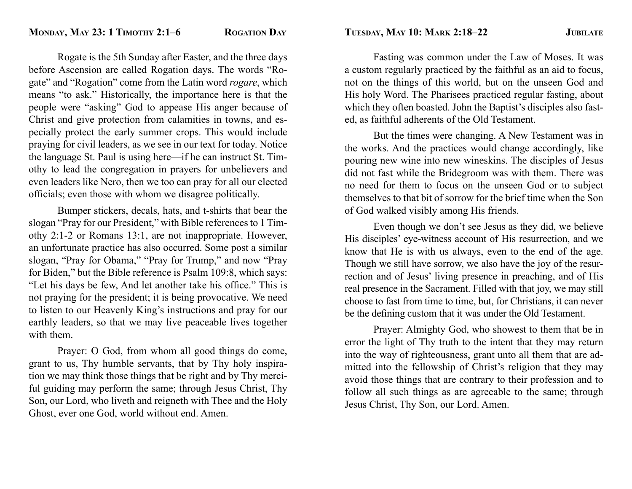Rogate is the 5th Sunday after Easter, and the three days before Ascension are called Rogation days. The words "Rogate" and "Rogation" come from the Latin word *rogare*, which means "to ask." Historically, the importance here is that the people were "asking" God to appease His anger because of Christ and give protection from calamities in towns, and especially protect the early summer crops. This would include praying for civil leaders, as we see in our text for today. Notice the language St. Paul is using here—if he can instruct St. Timothy to lead the congregation in prayers for unbelievers and even leaders like Nero, then we too can pray for all our elected officials; even those with whom we disagree politically.

 Bumper stickers, decals, hats, and t-shirts that bear the slogan "Pray for our President," with Bible references to 1 Timothy 2:1-2 or Romans 13:1, are not inappropriate. However, an unfortunate practice has also occurred. Some post a similar slogan, "Pray for Obama," "Pray for Trump," and now "Pray for Biden," but the Bible reference is Psalm 109:8, which says: "Let his days be few, And let another take his office." This is not praying for the president; it is being provocative. We need to listen to our Heavenly King's instructions and pray for our earthly leaders, so that we may live peaceable lives together with them.

 Prayer: O God, from whom all good things do come, grant to us, Thy humble servants, that by Thy holy inspiration we may think those things that be right and by Thy merciful guiding may perform the same; through Jesus Christ, Thy Son, our Lord, who liveth and reigneth with Thee and the Holy Ghost, ever one God, world without end. Amen.

 Fasting was common under the Law of Moses. It was a custom regularly practiced by the faithful as an aid to focus, not on the things of this world, but on the unseen God and His holy Word. The Pharisees practiced regular fasting, about which they often boasted. John the Baptist's disciples also fasted, as faithful adherents of the Old Testament.

 But the times were changing. A New Testament was in the works. And the practices would change accordingly, like pouring new wine into new wineskins. The disciples of Jesus did not fast while the Bridegroom was with them. There was no need for them to focus on the unseen God or to subject themselves to that bit of sorrow for the brief time when the Son of God walked visibly among His friends.

 Even though we don't see Jesus as they did, we believe His disciples' eye-witness account of His resurrection, and we know that He is with us always, even to the end of the age. Though we still have sorrow, we also have the joy of the resurrection and of Jesus' living presence in preaching, and of His real presence in the Sacrament. Filled with that joy, we may still choose to fast from time to time, but, for Christians, it can never be the defining custom that it was under the Old Testament.

 Prayer: Almighty God, who showest to them that be in error the light of Thy truth to the intent that they may return into the way of righteousness, grant unto all them that are admitted into the fellowship of Christ's religion that they may avoid those things that are contrary to their profession and to follow all such things as are agreeable to the same; through Jesus Christ, Thy Son, our Lord. Amen.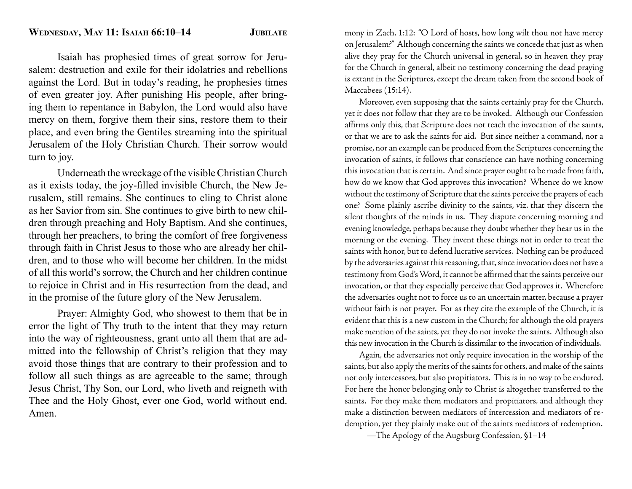Isaiah has prophesied times of great sorrow for Jerusalem: destruction and exile for their idolatries and rebellions against the Lord. But in today's reading, he prophesies times of even greater joy. After punishing His people, after bringing them to repentance in Babylon, the Lord would also have mercy on them, forgive them their sins, restore them to their place, and even bring the Gentiles streaming into the spiritual Jerusalem of the Holy Christian Church. Their sorrow would turn to joy.

 Underneath the wreckage of the visible Christian Church as it exists today, the joy-filled invisible Church, the New Jerusalem, still remains. She continues to cling to Christ alone as her Savior from sin. She continues to give birth to new children through preaching and Holy Baptism. And she continues, through her preachers, to bring the comfort of free forgiveness through faith in Christ Jesus to those who are already her children, and to those who will become her children. In the midst of all this world's sorrow, the Church and her children continue to rejoice in Christ and in His resurrection from the dead, and in the promise of the future glory of the New Jerusalem.

 Prayer: Almighty God, who showest to them that be in error the light of Thy truth to the intent that they may return into the way of righteousness, grant unto all them that are admitted into the fellowship of Christ's religion that they may avoid those things that are contrary to their profession and to follow all such things as are agreeable to the same; through Jesus Christ, Thy Son, our Lord, who liveth and reigneth with Thee and the Holy Ghost, ever one God, world without end. Amen.

mony in Zach. 1:12: "O Lord of hosts, how long wilt thou not have mercy on Jerusalem?" Although concerning the saints we concede that just as when alive they pray for the Church universal in general, so in heaven they pray for the Church in general, albeit no testimony concerning the dead praying is extant in the Scriptures, except the dream taken from the second book of Maccabees (15:14).

 Moreover, even supposing that the saints certainly pray for the Church, yet it does not follow that they are to be invoked. Although our Confession affirms only this, that Scripture does not teach the invocation of the saints, or that we are to ask the saints for aid. But since neither a command, nor a promise, nor an example can be produced from the Scriptures concerning the invocation of saints, it follows that conscience can have nothing concerning this invocation that is certain. And since prayer ought to be made from faith, how do we know that God approves this invocation? Whence do we know without the testimony of Scripture that the saints perceive the prayers of each one? Some plainly ascribe divinity to the saints, viz. that they discern the silent thoughts of the minds in us. They dispute concerning morning and evening knowledge, perhaps because they doubt whether they hear us in the morning or the evening. They invent these things not in order to treat the saints with honor, but to defend lucrative services. Nothing can be produced by the adversaries against this reasoning, that, since invocation does not have a testimony from God's Word, it cannot be affirmed that the saints perceive our invocation, or that they especially perceive that God approves it. Wherefore the adversaries ought not to force us to an uncertain matter, because a prayer without faith is not prayer. For as they cite the example of the Church, it is evident that this is a new custom in the Church; for although the old prayers make mention of the saints, yet they do not invoke the saints. Although also this new invocation in the Church is dissimilar to the invocation of individuals.

 Again, the adversaries not only require invocation in the worship of the saints, but also apply the merits of the saints for others, and make of the saints not only intercessors, but also propitiators. This is in no way to be endured. For here the honor belonging only to Christ is altogether transferred to the saints. For they make them mediators and propitiators, and although they make a distinction between mediators of intercession and mediators of redemption, yet they plainly make out of the saints mediators of redemption.

—The Apology of the Augsburg Confession, §1–14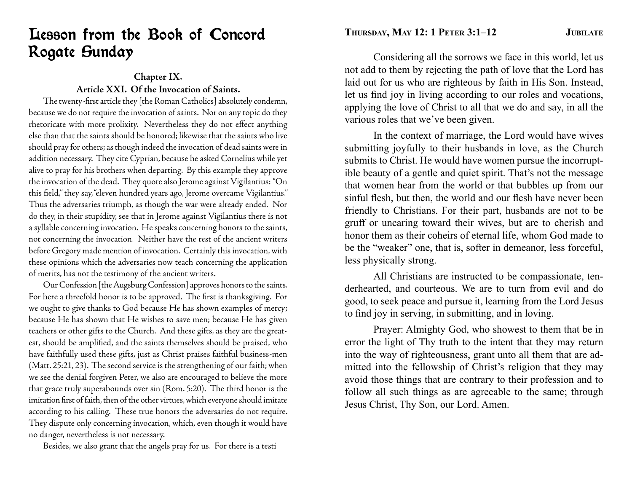## Lesson from the Book of Concord Rogate Sunday

### **Chapter IX. Article XXI. Of the Invocation of Saints.**

The twenty-first article they [the Roman Catholics] absolutely condemn, because we do not require the invocation of saints. Nor on any topic do they rhetoricate with more prolixity. Nevertheless they do not effect anything else than that the saints should be honored; likewise that the saints who live should pray for others; as though indeed the invocation of dead saints were in addition necessary. They cite Cyprian, because he asked Cornelius while yet alive to pray for his brothers when departing. By this example they approve the invocation of the dead. They quote also Jerome against Vigilantius: "On this field," they say, "eleven hundred years ago, Jerome overcame Vigilantius." Thus the adversaries triumph, as though the war were already ended. Nor do they, in their stupidity, see that in Jerome against Vigilantius there is not a syllable concerning invocation. He speaks concerning honors to the saints, not concerning the invocation. Neither have the rest of the ancient writers before Gregory made mention of invocation. Certainly this invocation, with these opinions which the adversaries now teach concerning the application of merits, has not the testimony of the ancient writers.

 Our Confession [the Augsburg Confession] approves honors to the saints. For here a threefold honor is to be approved. The first is thanksgiving. For we ought to give thanks to God because He has shown examples of mercy; because He has shown that He wishes to save men; because He has given teachers or other gifts to the Church. And these gifts, as they are the greatest, should be amplified, and the saints themselves should be praised, who have faithfully used these gifts, just as Christ praises faithful business-men (Matt. 25:21, 23). The second service is the strengthening of our faith; when we see the denial forgiven Peter, we also are encouraged to believe the more that grace truly superabounds over sin (Rom. 5:20). The third honor is the imitation first of faith, then of the other virtues, which everyone should imitate according to his calling. These true honors the adversaries do not require. They dispute only concerning invocation, which, even though it would have no danger, nevertheless is not necessary.

Besides, we also grant that the angels pray for us. For there is a testi

**THURSDAY, MAY 12: 1 PETER 3:1–12 JUBILATE**

 Considering all the sorrows we face in this world, let us not add to them by rejecting the path of love that the Lord has laid out for us who are righteous by faith in His Son. Instead, let us find joy in living according to our roles and vocations, applying the love of Christ to all that we do and say, in all the various roles that we've been given.

 In the context of marriage, the Lord would have wives submitting joyfully to their husbands in love, as the Church submits to Christ. He would have women pursue the incorruptible beauty of a gentle and quiet spirit. That's not the message that women hear from the world or that bubbles up from our sinful flesh, but then, the world and our flesh have never been friendly to Christians. For their part, husbands are not to be gruff or uncaring toward their wives, but are to cherish and honor them as their coheirs of eternal life, whom God made to be the "weaker" one, that is, softer in demeanor, less forceful, less physically strong.

 All Christians are instructed to be compassionate, tenderhearted, and courteous. We are to turn from evil and do good, to seek peace and pursue it, learning from the Lord Jesus to find joy in serving, in submitting, and in loving.

 Prayer: Almighty God, who showest to them that be in error the light of Thy truth to the intent that they may return into the way of righteousness, grant unto all them that are admitted into the fellowship of Christ's religion that they may avoid those things that are contrary to their profession and to follow all such things as are agreeable to the same; through Jesus Christ, Thy Son, our Lord. Amen.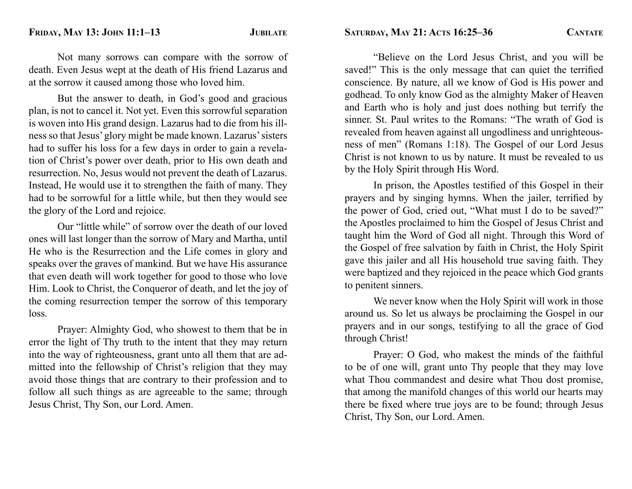Not many sorrows can compare with the sorrow of death. Even Jesus wept at the death of His friend Lazarus and at the sorrow it caused among those who loved him.

 But the answer to death, in God's good and gracious plan, is not to cancel it. Not yet. Even this sorrowful separation is woven into His grand design. Lazarus had to die from his illness so that Jesus' glory might be made known. Lazarus' sisters had to suffer his loss for a few days in order to gain a revelation of Christ's power over death, prior to His own death and resurrection. No, Jesus would not prevent the death of Lazarus. Instead, He would use it to strengthen the faith of many. They had to be sorrowful for a little while, but then they would see the glory of the Lord and rejoice.

 Our "little while" of sorrow over the death of our loved ones will last longer than the sorrow of Mary and Martha, until He who is the Resurrection and the Life comes in glory and speaks over the graves of mankind. But we have His assurance that even death will work together for good to those who love Him. Look to Christ, the Conqueror of death, and let the joy of the coming resurrection temper the sorrow of this temporary loss.

 Prayer: Almighty God, who showest to them that be in error the light of Thy truth to the intent that they may return into the way of righteousness, grant unto all them that are admitted into the fellowship of Christ's religion that they may avoid those things that are contrary to their profession and to follow all such things as are agreeable to the same; through Jesus Christ, Thy Son, our Lord. Amen.

 "Believe on the Lord Jesus Christ, and you will be saved!" This is the only message that can quiet the terrified conscience. By nature, all we know of God is His power and godhead. To only know God as the almighty Maker of Heaven and Earth who is holy and just does nothing but terrify the sinner. St. Paul writes to the Romans: "The wrath of God is revealed from heaven against all ungodliness and unrighteousness of men" (Romans 1:18). The Gospel of our Lord Jesus Christ is not known to us by nature. It must be revealed to us by the Holy Spirit through His Word.

In prison, the Apostles testified of this Gospel in their prayers and by singing hymns. When the jailer, terrified by the power of God, cried out, "What must I do to be saved?" the Apostles proclaimed to him the Gospel of Jesus Christ and taught him the Word of God all night. Through this Word of the Gospel of free salvation by faith in Christ, the Holy Spirit gave this jailer and all His household true saving faith. They were baptized and they rejoiced in the peace which God grants to penitent sinners.

 We never know when the Holy Spirit will work in those around us. So let us always be proclaiming the Gospel in our prayers and in our songs, testifying to all the grace of God through Christ!

 Prayer: O God, who makest the minds of the faithful to be of one will, grant unto Thy people that they may love what Thou commandest and desire what Thou dost promise, that among the manifold changes of this world our hearts may there be fixed where true joys are to be found; through Jesus Christ, Thy Son, our Lord. Amen.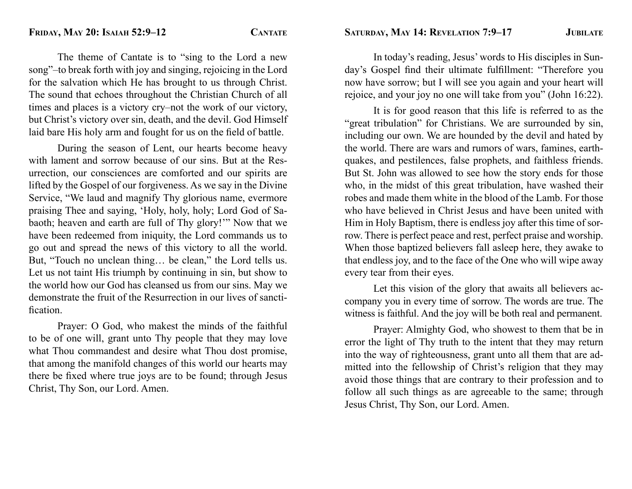The theme of Cantate is to "sing to the Lord a new song"–to break forth with joy and singing, rejoicing in the Lord for the salvation which He has brought to us through Christ. The sound that echoes throughout the Christian Church of all times and places is a victory cry–not the work of our victory, but Christ's victory over sin, death, and the devil. God Himself laid bare His holy arm and fought for us on the field of battle.

 During the season of Lent, our hearts become heavy with lament and sorrow because of our sins. But at the Resurrection, our consciences are comforted and our spirits are lifted by the Gospel of our forgiveness. As we say in the Divine Service, "We laud and magnify Thy glorious name, evermore praising Thee and saying, 'Holy, holy, holy; Lord God of Sabaoth; heaven and earth are full of Thy glory!'" Now that we have been redeemed from iniquity, the Lord commands us to go out and spread the news of this victory to all the world. But, "Touch no unclean thing… be clean," the Lord tells us. Let us not taint His triumph by continuing in sin, but show to the world how our God has cleansed us from our sins. May we demonstrate the fruit of the Resurrection in our lives of sanctification

 Prayer: O God, who makest the minds of the faithful to be of one will, grant unto Thy people that they may love what Thou commandest and desire what Thou dost promise, that among the manifold changes of this world our hearts may there be fixed where true joys are to be found; through Jesus Christ, Thy Son, our Lord. Amen.

 In today's reading, Jesus' words to His disciples in Sunday's Gospel find their ultimate fulfillment: "Therefore you now have sorrow; but I will see you again and your heart will rejoice, and your joy no one will take from you" (John 16:22).

 It is for good reason that this life is referred to as the "great tribulation" for Christians. We are surrounded by sin, including our own. We are hounded by the devil and hated by the world. There are wars and rumors of wars, famines, earthquakes, and pestilences, false prophets, and faithless friends. But St. John was allowed to see how the story ends for those who, in the midst of this great tribulation, have washed their robes and made them white in the blood of the Lamb. For those who have believed in Christ Jesus and have been united with Him in Holy Baptism, there is endless joy after this time of sorrow. There is perfect peace and rest, perfect praise and worship. When those baptized believers fall asleep here, they awake to that endless joy, and to the face of the One who will wipe away every tear from their eyes.

 Let this vision of the glory that awaits all believers accompany you in every time of sorrow. The words are true. The witness is faithful. And the joy will be both real and permanent.

 Prayer: Almighty God, who showest to them that be in error the light of Thy truth to the intent that they may return into the way of righteousness, grant unto all them that are admitted into the fellowship of Christ's religion that they may avoid those things that are contrary to their profession and to follow all such things as are agreeable to the same; through Jesus Christ, Thy Son, our Lord. Amen.

**SATURDAY, MAY 14: REVELATION 7:9–17 JUBILATE**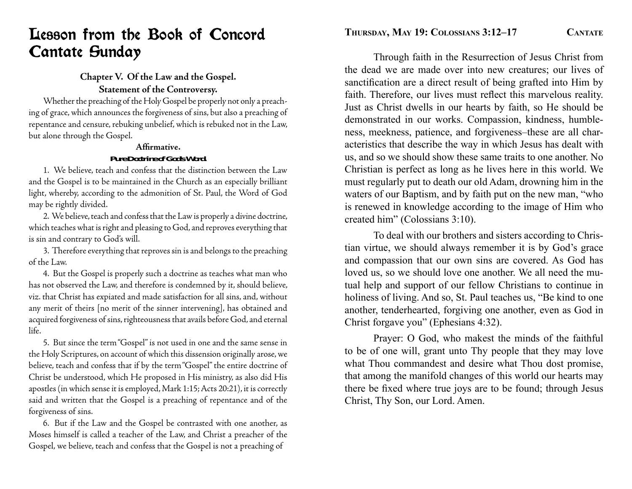## Lesson from the Book of Concord Cantate Sunday

## **Chapter V. Of the Law and the Gospel. Statement of the Controversy.**

 Whether the preaching of the Holy Gospel be properly not only a preaching of grace, which announces the forgiveness of sins, but also a preaching of repentance and censure, rebuking unbelief, which is rebuked not in the Law, but alone through the Gospel.

## **Affi rmative.***Pure Doctrine of God's Word.*

 1. We believe, teach and confess that the distinction between the Law and the Gospel is to be maintained in the Church as an especially brilliant light, whereby, according to the admonition of St. Paul, the Word of God may be rightly divided.

 2. We believe, teach and confess that the Law is properly a divine doctrine, which teaches what is right and pleasing to God, and reproves everything that is sin and contrary to God's will.

 3. Therefore everything that reproves sin is and belongs to the preaching of the Law.

 4. But the Gospel is properly such a doctrine as teaches what man who has not observed the Law, and therefore is condemned by it, should believe, viz. that Christ has expiated and made satisfaction for all sins, and, without any merit of theirs [no merit of the sinner intervening], has obtained and acquired forgiveness of sins, righteousness that avails before God, and eternal life.

 5. But since the term "Gospel" is not used in one and the same sense in the Holy Scriptures, on account of which this dissension originally arose, we believe, teach and confess that if by the term "Gospel" the entire doctrine of Christ be understood, which He proposed in His ministry, as also did His apostles (in which sense it is employed, Mark 1:15; Acts 20:21), it is correctly said and written that the Gospel is a preaching of repentance and of the forgiveness of sins.

 6. But if the Law and the Gospel be contrasted with one another, as Moses himself is called a teacher of the Law, and Christ a preacher of the Gospel, we believe, teach and confess that the Gospel is not a preaching of

 Through faith in the Resurrection of Jesus Christ from the dead we are made over into new creatures; our lives of sanctification are a direct result of being grafted into Him by faith. Therefore, our lives must reflect this marvelous reality. Just as Christ dwells in our hearts by faith, so He should be demonstrated in our works. Compassion, kindness, humbleness, meekness, patience, and forgiveness–these are all characteristics that describe the way in which Jesus has dealt with us, and so we should show these same traits to one another. No Christian is perfect as long as he lives here in this world. We must regularly put to death our old Adam, drowning him in the waters of our Baptism, and by faith put on the new man, "who is renewed in knowledge according to the image of Him who created him" (Colossians 3:10).

 To deal with our brothers and sisters according to Christian virtue, we should always remember it is by God's grace and compassion that our own sins are covered. As God has loved us, so we should love one another. We all need the mutual help and support of our fellow Christians to continue in holiness of living. And so, St. Paul teaches us, "Be kind to one another, tenderhearted, forgiving one another, even as God in Christ forgave you" (Ephesians 4:32).

 Prayer: O God, who makest the minds of the faithful to be of one will, grant unto Thy people that they may love what Thou commandest and desire what Thou dost promise, that among the manifold changes of this world our hearts may there be fixed where true joys are to be found; through Jesus Christ, Thy Son, our Lord. Amen.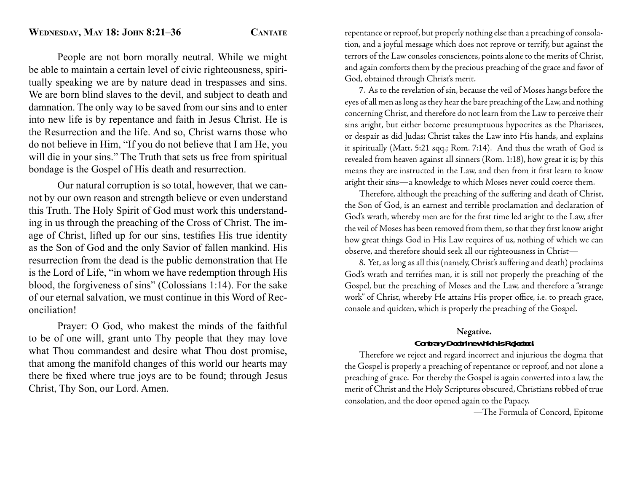People are not born morally neutral. While we might be able to maintain a certain level of civic righteousness, spiritually speaking we are by nature dead in trespasses and sins. We are born blind slaves to the devil, and subject to death and damnation. The only way to be saved from our sins and to enter into new life is by repentance and faith in Jesus Christ. He is the Resurrection and the life. And so, Christ warns those who do not believe in Him, "If you do not believe that I am He, you will die in your sins." The Truth that sets us free from spiritual bondage is the Gospel of His death and resurrection.

 Our natural corruption is so total, however, that we cannot by our own reason and strength believe or even understand this Truth. The Holy Spirit of God must work this understanding in us through the preaching of the Cross of Christ. The image of Christ, lifted up for our sins, testifies His true identity as the Son of God and the only Savior of fallen mankind. His resurrection from the dead is the public demonstration that He is the Lord of Life, "in whom we have redemption through His blood, the forgiveness of sins" (Colossians 1:14). For the sake of our eternal salvation, we must continue in this Word of Reconciliation!

 Prayer: O God, who makest the minds of the faithful to be of one will, grant unto Thy people that they may love what Thou commandest and desire what Thou dost promise, that among the manifold changes of this world our hearts may there be fixed where true joys are to be found; through Jesus Christ, Thy Son, our Lord. Amen.

repentance or reproof, but properly nothing else than a preaching of consolation, and a joyful message which does not reprove or terrify, but against the terrors of the Law consoles consciences, points alone to the merits of Christ, and again comforts them by the precious preaching of the grace and favor of God, obtained through Christ's merit.

 7. As to the revelation of sin, because the veil of Moses hangs before the eyes of all men as long as they hear the bare preaching of the Law, and nothing concerning Christ, and therefore do not learn from the Law to perceive their sins aright, but either become presumptuous hypocrites as the Pharisees, or despair as did Judas; Christ takes the Law into His hands, and explains it spiritually (Matt. 5:21 sqq.; Rom. 7:14). And thus the wrath of God is revealed from heaven against all sinners (Rom. 1:18), how great it is; by this means they are instructed in the Law, and then from it first learn to know aright their sins—a knowledge to which Moses never could coerce them.

 Therefore, although the preaching of the suffering and death of Christ, the Son of God, is an earnest and terrible proclamation and declaration of God's wrath, whereby men are for the first time led aright to the Law, after the veil of Moses has been removed from them, so that they first know aright how great things God in His Law requires of us, nothing of which we can observe, and therefore should seek all our righteousness in Christ—

 8. Yet, as long as all this (namely, Christ's suffering and death) proclaims God's wrath and terrifies man, it is still not properly the preaching of the Gospel, but the preaching of Moses and the Law, and therefore a "strange work" of Christ, whereby He attains His proper office, i.e. to preach grace, console and quicken, which is properly the preaching of the Gospel.

#### **Negative.** *Contrary Doctrine which is Rejected.*

 Therefore we reject and regard incorrect and injurious the dogma that the Gospel is properly a preaching of repentance or reproof, and not alone a preaching of grace. For thereby the Gospel is again converted into a law, the merit of Christ and the Holy Scriptures obscured, Christians robbed of true consolation, and the door opened again to the Papacy.

—The Formula of Concord, Epitome